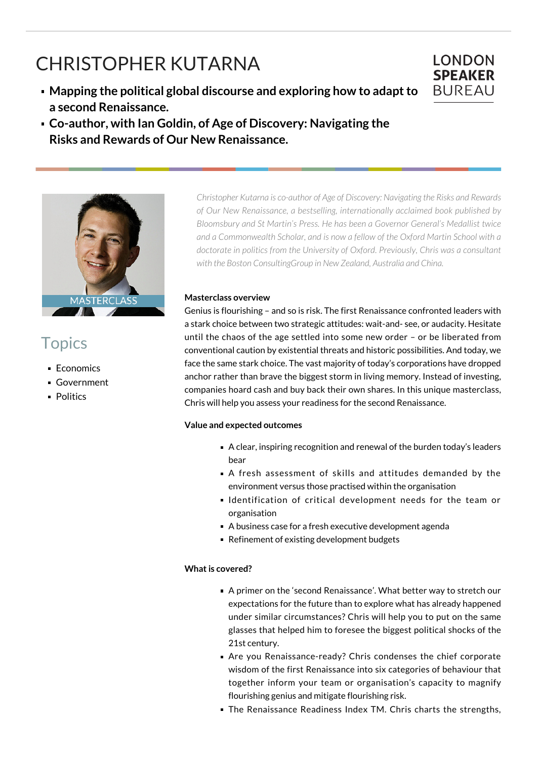# CHRISTOPHER KUTARNA

- **Mapping the political global discourse and exploring how to adapt to a second Renaissance.**
- **Co-author, with Ian Goldin, of Age of Discovery: Navigating the Risks and Rewards of Our New Renaissance.**



# **Topics**

- **Economics**
- Government
- **Politics**

*Christopher Kutarna is co-author of Age of Discovery: Navigating the Risks and Rewards of Our New Renaissance, a bestselling, internationally acclaimed book published by Bloomsbury and St Martin's Press. He has been a Governor General's Medallist twice and a Commonwealth Scholar, and is now a fellow of the Oxford Martin School with a doctorate in politics from the University of Oxford. Previously, Chris was a consultant with the Boston ConsultingGroup in New Zealand, Australia and China.*

**LONDON SPEAKER BUREAU** 

#### **Masterclass overview**

Genius is flourishing – and so is risk. The first Renaissance confronted leaders with a stark choice between two strategic attitudes: wait-and- see, or audacity. Hesitate until the chaos of the age settled into some new order – or be liberated from conventional caution by existential threats and historic possibilities. And today, we face the same stark choice. The vast majority of today's corporations have dropped anchor rather than brave the biggest storm in living memory. Instead of investing, companies hoard cash and buy back their own shares. In this unique masterclass, Chris will help you assess your readiness for the second Renaissance.

## **Value and expected outcomes**

- A clear, inspiring recognition and renewal of the burden today's leaders bear
- A fresh assessment of skills and attitudes demanded by the environment versus those practised within the organisation
- I dentification of critical development needs for the team or organisation
- A business case for a fresh executive development agenda
- Refinement of existing development budgets

## **What is covered?**

- A primer on the 'second Renaissance'. What better way to stretch our expectations for the future than to explore what has already happened under similar circumstances? Chris will help you to put on the same glasses that helped him to foresee the biggest political shocks of the 21st century.
- Are you Renaissance-ready? Chris condenses the chief corporate wisdom of the first Renaissance into six categories of behaviour that together inform your team or organisation's capacity to magnify flourishing genius and mitigate flourishing risk.
- **The Renaissance Readiness Index TM. Chris charts the strengths,**